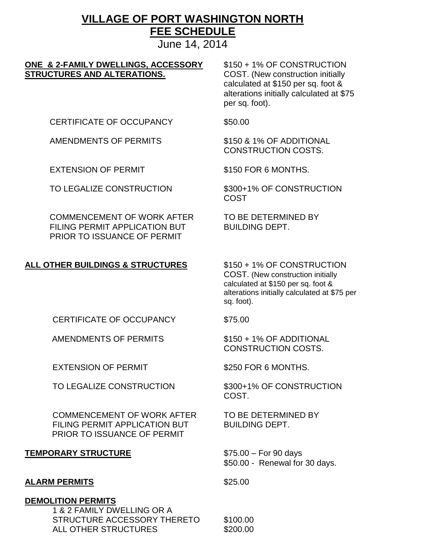# **VILLAGE OF PORT WASHINGTON NORTH FEE SCHEDULE**

June 14, 2014

#### **ONE & 2-FAMILY DWELLINGS, ACCESSORY** \$150 + 1% OF CONSTRUCTION **STRUCTURES AND ALTERATIONS.** COST. (New construction initially

calculated at \$150 per sq. foot & alterations initially calculated at \$75 per sq. foot).

CERTIFICATE OF OCCUPANCY \$50.00

AMENDMENTS OF PERMITS \$150 & 1% OF ADDITIONAL

EXTENSION OF PERMIT \$150 FOR 6 MONTHS.

TO LEGALIZE CONSTRUCTION \$300+1% OF CONSTRUCTION

COMMENCEMENT OF WORK AFTER TO BE DETERMINED BY FILING PERMIT APPLICATION BUT BUILDING DEPT. PRIOR TO ISSUANCE OF PERMIT

# COST

CONSTRUCTION COSTS.

# **ALL OTHER BUILDINGS & STRUCTURES** \$150 + 1% OF CONSTRUCTION

COST. (New construction initially calculated at \$150 per sq. foot & alterations initially calculated at \$75 per sq. foot).

CERTIFICATE OF OCCUPANCY \$75.00

AMENDMENTS OF PERMITS \$150 + 1% OF ADDITIONAL

EXTENSION OF PERMIT \$250 FOR 6 MONTHS.

TO LEGALIZE CONSTRUCTION \$300+1% OF CONSTRUCTION

COMMENCEMENT OF WORK AFTER TO BE DETERMINED BY FILING PERMIT APPLICATION BUT BUILDING DEPT. PRIOR TO ISSUANCE OF PERMIT

#### **TEMPORARY STRUCTURE** \$75.00 – For 90 days

# ALARM PERMITS \$25.00

#### **DEMOLITION PERMITS**

 1 & 2 FAMILY DWELLING OR A STRUCTURE ACCESSORY THERETO \$100.00 ALL OTHER STRUCTURES \$200.00

CONSTRUCTION COSTS.

COST.

\$50.00 - Renewal for 30 days.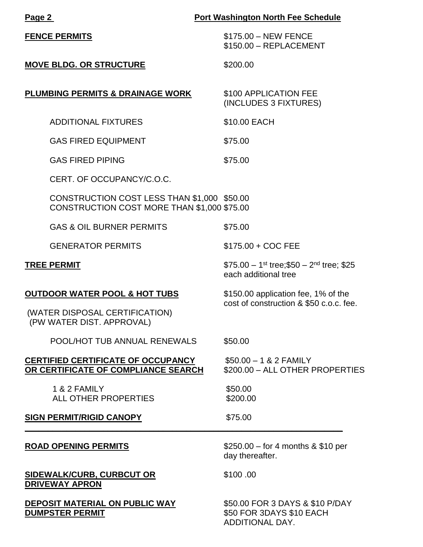| <b>Port Washington North Fee Schedule</b><br>Page 2                                        |                                                                                           |  |
|--------------------------------------------------------------------------------------------|-------------------------------------------------------------------------------------------|--|
| <b>FENCE PERMITS</b>                                                                       | \$175.00 - NEW FENCE<br>\$150.00 - REPLACEMENT                                            |  |
| <b>MOVE BLDG. OR STRUCTURE</b>                                                             | \$200.00                                                                                  |  |
| <b>PLUMBING PERMITS &amp; DRAINAGE WORK</b>                                                | \$100 APPLICATION FEE<br>(INCLUDES 3 FIXTURES)                                            |  |
| <b>ADDITIONAL FIXTURES</b>                                                                 | \$10.00 EACH                                                                              |  |
| <b>GAS FIRED EQUIPMENT</b>                                                                 | \$75.00                                                                                   |  |
| <b>GAS FIRED PIPING</b>                                                                    | \$75.00                                                                                   |  |
| CERT. OF OCCUPANCY/C.O.C.                                                                  |                                                                                           |  |
| CONSTRUCTION COST LESS THAN \$1,000 \$50.00<br>CONSTRUCTION COST MORE THAN \$1,000 \$75.00 |                                                                                           |  |
| <b>GAS &amp; OIL BURNER PERMITS</b>                                                        | \$75.00                                                                                   |  |
| <b>GENERATOR PERMITS</b>                                                                   | \$175.00 + COC FEE                                                                        |  |
| <b>TREE PERMIT</b>                                                                         | \$75.00 - 1 <sup>st</sup> tree; \$50 - 2 <sup>nd</sup> tree; \$25<br>each additional tree |  |
| <b>OUTDOOR WATER POOL &amp; HOT TUBS</b>                                                   | \$150.00 application fee, 1% of the<br>cost of construction & \$50 c.o.c. fee.            |  |
| (WATER DISPOSAL CERTIFICATION)<br>(PW WATER DIST. APPROVAL)                                |                                                                                           |  |
| POOL/HOT TUB ANNUAL RENEWALS                                                               | \$50.00                                                                                   |  |
| <b>CERTIFIED CERTIFICATE OF OCCUPANCY</b><br>OR CERTIFICATE OF COMPLIANCE SEARCH           | $$50.00 - 1 & 2$ FAMILY<br>\$200.00 - ALL OTHER PROPERTIES                                |  |
| 1 & 2 FAMILY<br><b>ALL OTHER PROPERTIES</b>                                                | \$50.00<br>\$200.00                                                                       |  |
| <b>SIGN PERMIT/RIGID CANOPY</b>                                                            | \$75.00                                                                                   |  |
| <b>ROAD OPENING PERMITS</b>                                                                | \$250.00 – for 4 months $&$ \$10 per<br>day thereafter.                                   |  |
| <b>SIDEWALK/CURB, CURBCUT OR</b><br><b>DRIVEWAY APRON</b>                                  | \$100.00                                                                                  |  |
| DEPOSIT MATERIAL ON PUBLIC WAY<br><b>DUMPSTER PERMIT</b>                                   | \$50.00 FOR 3 DAYS & \$10 P/DAY<br>\$50 FOR 3DAYS \$10 EACH<br>ADDITIONAL DAY.            |  |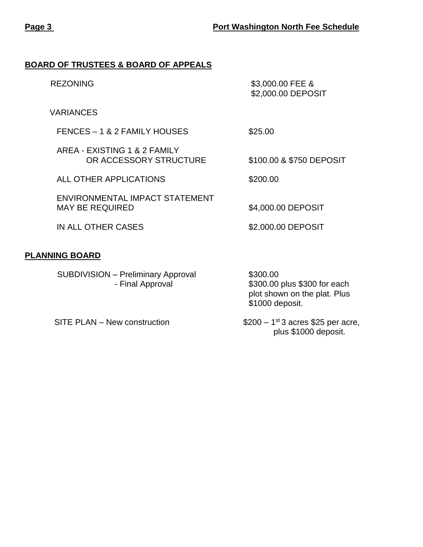#### **BOARD OF TRUSTEES & BOARD OF APPEALS**

| <b>REZONING</b>                                          | \$3,000.00 FEE &<br>\$2,000.00 DEPOSIT |
|----------------------------------------------------------|----------------------------------------|
| <b>VARIANCES</b>                                         |                                        |
| FENCES - 1 & 2 FAMILY HOUSES                             | \$25.00                                |
| AREA - EXISTING 1 & 2 FAMILY<br>OR ACCESSORY STRUCTURE   | \$100.00 & \$750 DEPOSIT               |
| ALL OTHER APPLICATIONS                                   | \$200.00                               |
| ENVIRONMENTAL IMPACT STATEMENT<br><b>MAY BE REQUIRED</b> | \$4,000.00 DEPOSIT                     |
| IN ALL OTHER CASES                                       | \$2,000.00 DEPOSIT                     |
| <b>PLANNING BOARD</b>                                    |                                        |
| <b>SUBDIVISION - Preliminary Approval</b>                | \$300.00                               |

SITE PLAN – New construction

- Final Approval \$300.00 plus \$300 for each plot shown on the plat. Plus \$1000 deposit.

> $$200 - 1<sup>st</sup>3$  acres \$25 per acre, plus \$1000 deposit.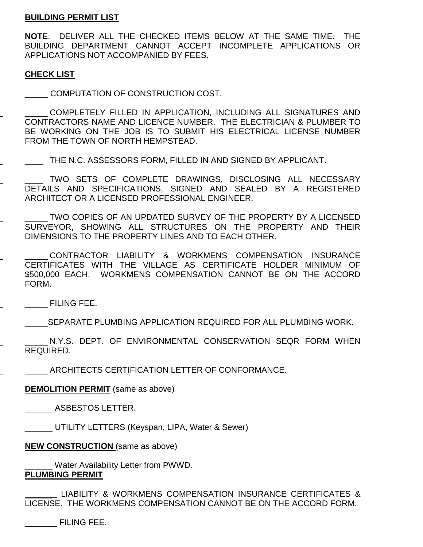#### **BUILDING PERMIT LIST**

**NOTE:** DELIVER ALL THE CHECKED ITEMS BELOW AT THE SAME TIME. THE BUILDING DEPARTMENT CANNOT ACCEPT INCOMPLETE APPLICATIONS OR APPLICATIONS NOT ACCOMPANIED BY FEES.

#### **CHECK LIST**

\_\_\_\_\_ \_\_\_\_\_ COMPUTATION OF CONSTRUCTION COST.

\_\_\_\_\_\_ \_\_\_\_\_ COMPLETELY FILLED IN APPLICATION, INCLUDING ALL SIGNATURES AND CONTRACTORS NAME AND LICENCE NUMBER. THE ELECTRICIAN & PLUMBER TO BE WORKING ON THE JOB IS TO SUBMIT HIS ELECTRICAL LICENSE NUMBER FROM THE TOWN OF NORTH HEMPSTEAD.

\_\_\_\_\_\_ \_\_\_\_ THE N.C. ASSESSORS FORM, FILLED IN AND SIGNED BY APPLICANT.

TWO SETS OF COMPLETE DRAWINGS, DISCLOSING ALL NECESSARY DETAILS AND SPECIFICATIONS, SIGNED AND SEALED BY A REGISTERED ARCHITECT OR A LICENSED PROFESSIONAL ENGINEER.

\_\_\_\_\_\_ \_\_\_\_\_ TWO COPIES OF AN UPDATED SURVEY OF THE PROPERTY BY A LICENSED SURVEYOR, SHOWING ALL STRUCTURES ON THE PROPERTY AND THEIR DIMENSIONS TO THE PROPERTY LINES AND TO EACH OTHER.

CONTRACTOR LIABILITY & WORKMENS COMPENSATION INSURANCE CERTIFICATES WITH THE VILLAGE AS CERTIFICATE HOLDER MINIMUM OF \$500,000 EACH. WORKMENS COMPENSATION CANNOT BE ON THE ACCORD FORM.

\_\_\_\_\_\_ \_\_\_\_\_ FILING FEE.

\_\_\_\_\_SEPARATE PLUMBING APPLICATION REQUIRED FOR ALL PLUMBING WORK.

\_\_\_\_\_\_ \_\_\_\_\_ N.Y.S. DEPT. OF ENVIRONMENTAL CONSERVATION SEQR FORM WHEN REQUIRED.

\_\_\_\_\_\_ \_\_\_\_\_ ARCHITECTS CERTIFICATION LETTER OF CONFORMANCE.

**DEMOLITION PERMIT** (same as above)

\_\_\_\_\_ \_\_\_\_\_\_ ASBESTOS LETTER.

\_\_\_\_\_\_ UTILITY LETTERS (Keyspan, LIPA, Water & Sewer)

**NEW CONSTRUCTION** (same as above)

Water Availability Letter from PWWD. **PLUMBING PERMIT**

LIABILITY & WORKMENS COMPENSATION INSURANCE CERTIFICATES & LICENSE. THE WORKMENS COMPENSATION CANNOT BE ON THE ACCORD FORM.

\_\_\_\_\_\_\_ FILING FEE.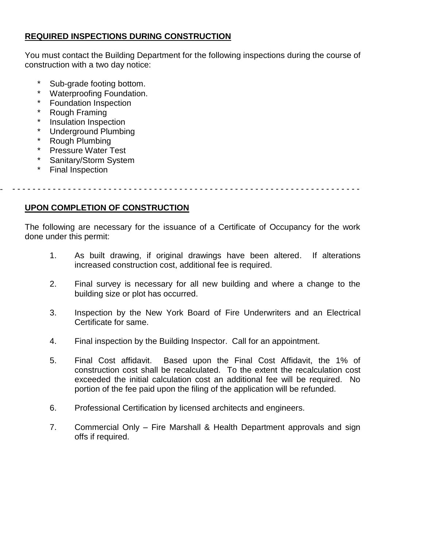## **REQUIRED INSPECTIONS DURING CONSTRUCTION**

You must contact the Building Department for the following inspections during the course of construction with a two day notice:

- \* Sub-grade footing bottom.<br>\* Waterproefing Foundation
- Waterproofing Foundation.
- Foundation Inspection
- Rough Framing
- Insulation Inspection
- Underground Plumbing
- **Rough Plumbing**
- \* Pressure Water Test<br>\* Sanitary/Storm System
- Sanitary/Storm System
- Final Inspection

- - - - - - - - - - - - - - - - - - - - - - - - - - - - - - - - - - - - - - - - - - - - - - - - - - - - - - - - - - - - - - - - - - - - - -

## **UPON COMPLETION OF CONSTRUCTION**

The following are necessary for the issuance of a Certificate of Occupancy for the work done under this permit:

- 1. As built drawing, if original drawings have been altered. If alterations increased construction cost, additional fee is required.
- 2. Final survey is necessary for all new building and where a change to the building size or plot has occurred.
- 3. Inspection by the New York Board of Fire Underwriters and an Electrical Certificate for same.
- 4. Final inspection by the Building Inspector. Call for an appointment.
- 5. Final Cost affidavit. Based upon the Final Cost Affidavit, the 1% of construction cost shall be recalculated. To the extent the recalculation cost exceeded the initial calculation cost an additional fee will be required. No portion of the fee paid upon the filing of the application will be refunded.
- 6. Professional Certification by licensed architects and engineers.
- 7. Commercial Only Fire Marshall & Health Department approvals and sign offs if required.